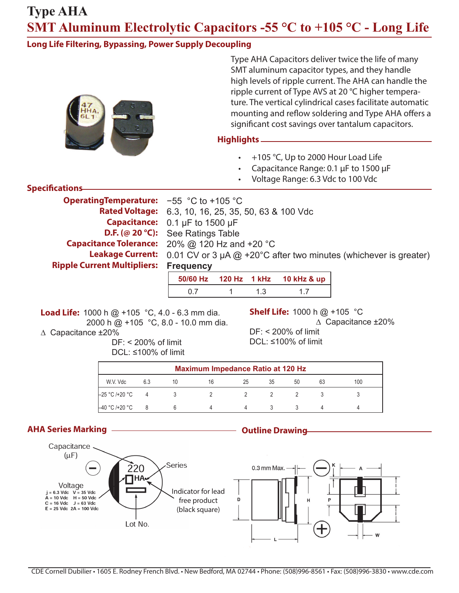### **Long Life Filtering, Bypassing, Power Supply Decoupling**



Type AHA Capacitors deliver twice the life of many SMT aluminum capacitor types, and they handle high levels of ripple current. The AHA can handle the ripple current of Type AVS at 20 °C higher temperature. The vertical cylindrical cases facilitate automatic mounting and reflow soldering and Type AHA offers a significant cost savings over tantalum capacitors.

### **Highlights**

- +105 °C, Up to 2000 Hour Load Life
- Capacitance Range: 0.1 µF to 1500 µF
- Voltage Range: 6.3 Vdc to 100 Vdc

#### **Specifications**

| <b>Operating Temperature:</b> $-55$ °C to +105 °C |                                                                                                 |
|---------------------------------------------------|-------------------------------------------------------------------------------------------------|
|                                                   | <b>Rated Voltage:</b> 6.3, 10, 16, 25, 35, 50, 63 & 100 Vdc                                     |
|                                                   | <b>Capacitance:</b> $0.1 \mu F$ to 1500 $\mu F$                                                 |
|                                                   | <b>D.F.</b> (@ 20 °C): See Ratings Table                                                        |
|                                                   | <b>Capacitance Tolerance:</b> $20\%$ @ 120 Hz and +20 °C                                        |
|                                                   | <b>Leakage Current:</b> 0.01 CV or 3 $\mu$ A $@$ +20°C after two minutes (whichever is greater) |
| <b>Ripple Current Multipliers: Frequency</b>      |                                                                                                 |

**50/60 Hz 120 Hz 1 kHz 10 kHz & up** 0.7 1 1.3 1.7

**Load Life:** 1000 h @ +105 °C, 4.0 - 6.3 mm dia. 2000 h @ +105 °C, 8.0 - 10.0 mm dia. ∆ Capacitance ±20%

> DF: < 200% of limit  $DCI: \leq 100\%$  of limit

**Shelf Life:** 1000 h @ +105 °C

∆ Capacitance ±20%

DF: < 200% of limit DCL: ≤100% of limit

| <b>Maximum Impedance Ratio at 120 Hz</b> |     |  |    |    |    |    |    |     |
|------------------------------------------|-----|--|----|----|----|----|----|-----|
| W.V. Vdc                                 | 6.3 |  | 16 | 25 | 35 | 50 | 63 | 100 |
| –25 °C /+20 °C                           | 4   |  |    |    |    |    |    |     |
| –40 °C /+20 °C                           |     |  |    |    |    |    |    |     |

## **AHA Series Marking Outline Drawing**

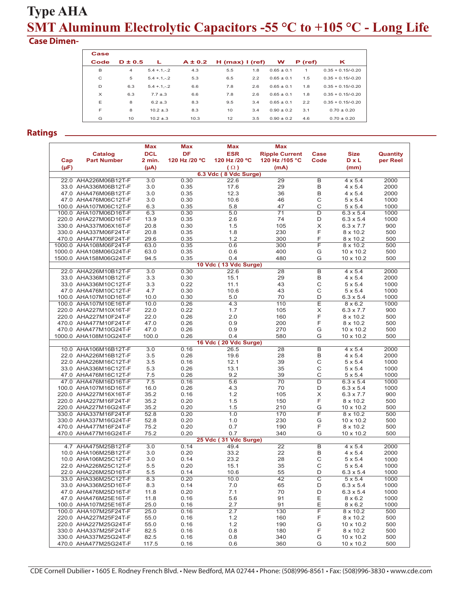### **Case Dimen-**

| Case     |             |                 |             |                   |     |              |         |                     |
|----------|-------------|-----------------|-------------|-------------------|-----|--------------|---------|---------------------|
| Code     | $D \pm 0.5$ | L               | $A \pm 0.2$ | $H$ (max) I (ref) |     | w            | P (ref) | κ                   |
| B        | 4           | $5.4 + .1 - .2$ | 4.3         | 5.5               | 1.8 | $0.65 + 0.1$ | 1       | $0.35 + 0.15/-0.20$ |
| С        | 5           | $5.4 + 1 - 2$   | 5.3         | 6.5               | 2.2 | $0.65 + 0.1$ | 1.5     | $0.35 + 0.15/-0.20$ |
| D        | 6.3         | $5.4 + .1 - .2$ | 6.6         | 7.8               | 2.6 | $0.65 + 0.1$ | 1.8     | $0.35 + 0.15/-0.20$ |
| $\times$ | 6.3         | $7.7 \pm .3$    | 6.6         | 7.8               | 2.6 | $0.65 + 0.1$ | 1.8     | $0.35 + 0.15/-0.20$ |
| E        | 8           | $6.2 + .3$      | 8.3         | 9.5               | 3.4 | $0.65 + 0.1$ | 2.2     | $0.35 + 0.15/-0.20$ |
| F        | 8           | $10.2 + 3$      | 8.3         | 10                | 3.4 | $0.90 + 0.2$ | 3.1     | $0.70 \pm 0.20$     |
| G        | 10          | $10.2 + 3$      | 10.3        | 12                | 3.5 | $0.90 + 0.2$ | 4.6     | $0.70 + 0.20$       |

#### **Ratings**

|           |                        | <b>Max</b> | Max           | Max                           | <b>Max</b>            |                |                  |                 |
|-----------|------------------------|------------|---------------|-------------------------------|-----------------------|----------------|------------------|-----------------|
|           | Catalog                | <b>DCL</b> | DF            | <b>ESR</b>                    | <b>Ripple Current</b> | Case           | <b>Size</b>      | <b>Quantity</b> |
| Cap       | <b>Part Number</b>     | 2 min.     | 120 Hz /20 °C | 120 Hz /20 °C                 | 120 Hz /105 °C        | Code           | DxL              | per Reel        |
| $(\mu F)$ |                        | (µA)       |               | $(\Omega)$                    | (mA)                  |                | (mm)             |                 |
|           | 22.0 AHA226M06B12T-F   | 3.0        | 0.30          | 6.3 Vdc (8 Vdc Surge)<br>22.6 | 29                    | B              | $4 \times 5.4$   | 2000            |
|           | 33.0 AHA336M06B12T-F   | 3.0        | 0.35          | 17.6                          | 29                    | В              | $4 \times 5.4$   | 2000            |
|           | 47.0 AHA476M06B12T-F   | 3.0        | 0.35          | 12.3                          | 36                    | B              | $4 \times 5.4$   | 2000            |
|           | 47.0 AHA476M06C12T-F   | 3.0        | 0.30          | 10.6                          | 46                    | C              | $5 \times 5.4$   | 1000            |
|           | 100.0 AHA107M06C12T-F  | 6.3        | 0.35          | 5.8                           | 47                    | C              | $5 \times 5.4$   | 1000            |
|           | 100.0 AHA107M06D16T-F  | 6.3        | 0.30          | 5.0                           | 71                    | D              | $6.3 \times 5.4$ | 1000            |
|           | 220.0 AHA227M06D16T-F  | 13.9       | 0.35          | 2.6                           | 74                    | D              | $6.3 \times 5.4$ | 1000            |
|           | 330.0 AHA337M06X16T-F  | 20.8       | 0.30          | 1.5                           | 105                   | X              | $6.3 \times 7.7$ | 900             |
|           | 330.0 AHA337M06F24T-F  | 20.8       | 0.35          | 1.8                           | 230                   | F              | 8 x 10.2         | 500             |
|           | 470.0 AHA477M06F24T-F  | 29.6       | 0.35          | 1.2                           | 300                   | F              | 8 x 10.2         | 500             |
|           | 1000.0 AHA108M06F24T-F | 63.0       | 0.35          | 0.6                           | 300                   | F              | 8 x 10.2         | 500             |
|           | 1000.0 AHA108M06G24T-F | 63.0       | 0.35          | 0.6                           | 400                   | G              | 10 x 10.2        | 500             |
|           | 1500.0 AHA158M06G24T-F | 94.5       | 0.35          | 0.4                           | 480                   | G              | 10 x 10.2        | 500             |
|           |                        |            |               | 10 Vdc (13 Vdc Surge)         |                       |                |                  |                 |
|           | 22.0 AHA226M10B12T-F   | 3.0        | 0.30          | 22.6                          | 28                    | $\overline{B}$ | $4 \times 5.4$   | 2000            |
|           | 33.0 AHA336M10B12T-F   | 3.3        | 0.30          | 15.1                          | 29                    | B              | $4 \times 5.4$   | 2000            |
|           | 33.0 AHA336M10C12T-F   | 3.3        | 0.22          | 11.1                          | 43                    | C              | $5 \times 5.4$   | 1000            |
|           | 47.0 AHA476M10C12T-F   | 4.7        | 0.30          | 10.6                          | 43                    | C              | $5 \times 5.4$   | 1000            |
|           | 100.0 AHA107M10D16T-F  | 10.0       | 0.30          | 5.0                           | 70                    | D              | $6.3 \times 5.4$ | 1000            |
|           | 100.0 AHA107M10E16T-F  | 10.0       | 0.26          | 4.3                           | 110                   | E              | $8 \times 6.2$   | 1000            |
|           | 220.0 AHA227M10X16T-F  | 22.0       | 0.22          | 1.7                           | 105                   | $\times$       | $6.3 \times 7.7$ | 900             |
|           | 220.0 AHA227M10F24T-F  | 22.0       | 0.26          | 2.0                           | 160                   | F              | 8 x 10.2         | 500             |
|           | 470.0 AHA477M10F24T-F  | 47.0       | 0.26          | 0.9                           | 200                   | F              | 8 x 10.2         | 500             |
|           | 470.0 AHA477M10G24T-F  | 47.0       | 0.26          | 0.9                           | 270                   | G              | 10 x 10.2        | 500             |
|           | 1000.0 AHA108M10G24T-F | 100.0      | 0.26          | 0.4                           | 580                   | G              | 10 x 10.2        | 500             |
|           |                        |            |               | 16 Vdc (20 Vdc Surge)         |                       |                |                  |                 |
|           | 10.0 AHA106M16B12T-F   | 3.0        | 0.16          | 26.5                          | 28                    | в              | $4 \times 5.4$   | 2000            |
|           | 22.0 AHA226M16B12T-F   | 3.5        | 0.26          | 19.6                          | 28                    | B              | $4 \times 5.4$   | 2000            |
|           | 22.0 AHA226M16C12T-F   | 3.5        | 0.16          | 12.1                          | 39                    | C              | $5 \times 5.4$   | 1000            |
|           | 33.0 AHA336M16C12T-F   | 5.3        | 0.26          | 13.1                          | 35                    | C              | $5 \times 5.4$   | 1000            |
|           | 47.0 AHA476M16C12T-F   | 7.5        | 0.26          | 9.2                           | 39                    | C              | $5 \times 5.4$   | 1000            |
|           | 47.0 AHA476M16D16T-F   | 7.5        | 0.16          | 5.6                           | 70                    | $\overline{D}$ | $6.3 \times 5.4$ | 1000            |
|           | 100.0 AHA107M16D16T-F  | 16.0       | 0.26          | 4.3                           | 70                    | D              | $6.3 \times 5.4$ | 1000            |
|           | 220.0 AHA227M16X16T-F  | 35.2       | 0.16          | 1.2                           | 105                   | X              | $6.3 \times 7.7$ | 900             |
|           | 220.0 AHA227M16F24T-F  | 35.2       | 0.20          | 1.5                           | 150                   | F              | 8 x 10.2         | 500             |
|           | 220.0 AHA227M16G24T-F  | 35.2       | 0.20          | 1.5                           | 210                   | G              | 10 x 10.2        | 500             |
|           | 330.0 AHA337M16F24T-F  | 52.8       | 0.20          | 1.0                           | 170                   | F              | 8 x 10.2         | 500             |
|           | 330.0 AHA337M16G24T-F  | 52.8       | 0.20          | 1.0                           | 230                   | G              | 10 x 10.2        | 500             |
|           | 470.0 AHA477M16F24T-F  | 75.2       | 0.20          | 0.7                           | 190                   | F              | 8 x 10.2         | 500             |
|           | 470.0 AHA477M16G24T-F  | 75.2       | 0.20          | 0.7                           | 340                   | G              | 10 x 10.2        | 500             |
|           |                        |            |               | 25 Vdc (31 Vdc Surge)         |                       |                |                  |                 |
|           | 4.7 AHA475M25B12T-F    | 3.0        | 0.14          | 49.4                          | 22                    | В              | $4 \times 5.4$   | 2000            |
|           | 10.0 AHA106M25B12T-F   | 3.0        | 0.20          | 33.2                          | 22                    | B              | $4 \times 5.4$   | 2000            |
|           | 10.0 AHA106M25C12T-F   | 3.0        | 0.14          | 23.2                          | 28                    | C              | $5 \times 5.4$   | 1000            |
|           | 22.0 AHA226M25C12T-F   | 5.5        | 0.20          | 15.1                          | 35                    | C              | $5 \times 5.4$   | 1000            |
|           | 22.0 AHA226M25D16T-F   | 5.5        | 0.14          | 10.6                          | 55                    | D              | $6.3 \times 5.4$ | 1000            |
|           | 33.0 AHA336M25C12T-F   | 8.3        | 0.20          | 10.0                          | 42                    | $\overline{C}$ | $5 \times 5.4$   | 1000            |
|           | 33.0 AHA336M25D16T-F   | 8.3        | 0.14          | 7.0                           | 65                    | D              | $6.3 \times 5.4$ | 1000            |
|           | 47.0 AHA476M25D16T-F   | 11.8       | 0.20          | 7.1                           | 70                    | D              | $6.3 \times 5.4$ | 1000            |
|           | 47.0 AHA476M25E16T-F   | 11.8       | 0.16          | 5.6                           | 91                    | Ε              | $8 \times 6.2$   | 1000            |
|           | 100.0 AHA107M25E16T-F  | 25.0       | 0.16          | 2.7                           | 91                    | Ε              | $8 \times 6.2$   | 1000            |
|           | 100.0 AHA107M25F24T-F  | 25.0       | 0.16          | 2.7                           | 130                   | F              | 8 x 10.2         | 500             |
|           | 220.0 AHA227M25F24T-F  | 55.0       | 0.16          | 1.2                           | 160                   | F              | 8 x 10.2         | 500             |
|           | 220.0 AHA227M25G24T-F  | 55.0       | 0.16          | 1.2                           | 190                   | G              | 10 x 10.2        | 500             |
|           | 330.0 AHA337M25F24T-F  | 82.5       | 0.16          | 0.8                           | 180                   | F              | 8 x 10.2         | 500             |
|           | 330.0 AHA337M25G24T-F  | 82.5       | 0.16          | 0.8                           | 340                   | G              | 10 x 10.2        | 500             |
|           | 470.0 AHA477M25G24T-F  | 117.5      | 0.16          | 0.6                           | 360                   | G              | 10 x 10.2        | 500             |

CDE Cornell Dubilier • 1605 E. Rodney French Blvd. • New Bedford, MA 02744 • Phone: (508)996-8561 • Fax: (508)996-3830 • www.cde.com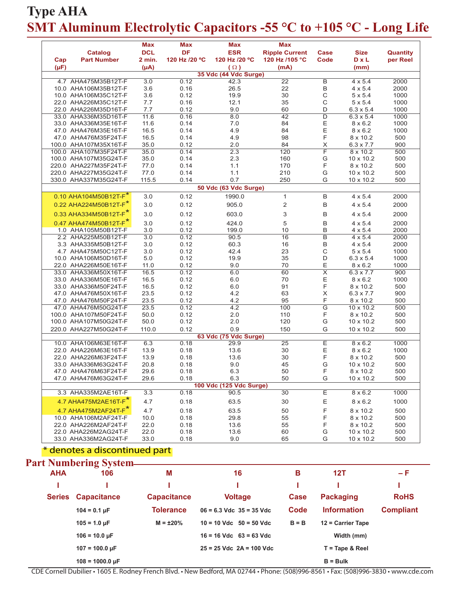| Cap<br>$(\mu F)$ | <b>Catalog</b><br><b>Part Number</b> | <b>Max</b><br><b>DCL</b><br>2 min.<br>$(\mu A)$ | <b>Max</b><br><b>DF</b><br>120 Hz /20 °C | <b>Max</b><br><b>ESR</b><br>120 Hz /20 °C<br>$(\Omega)$ | <b>Max</b><br><b>Ripple Current</b><br>120 Hz /105 °C<br>(mA) | Case<br>Code            | <b>Size</b><br><b>DxL</b><br>(mm) | <b>Quantity</b><br>per Reel |
|------------------|--------------------------------------|-------------------------------------------------|------------------------------------------|---------------------------------------------------------|---------------------------------------------------------------|-------------------------|-----------------------------------|-----------------------------|
|                  |                                      |                                                 |                                          | 35 Vdc (44 Vdc Surge)                                   |                                                               |                         |                                   |                             |
|                  | 4.7 AHA475M35B12T-F                  | 3.0                                             | 0.12                                     | 42.3                                                    | $\overline{22}$                                               | В                       | $4 \times 5.4$                    | 2000                        |
|                  | 10.0 AHA106M35B12T-F                 | 3.6                                             | 0.16                                     | 26.5                                                    | 22                                                            | B                       | $4 \times 5.4$                    | 2000                        |
|                  | 10.0 AHA106M35C12T-F                 | 3.6                                             | 0.12                                     | 19.9                                                    | 30                                                            | C                       | $5 \times 5.4$                    | 1000                        |
|                  | 22.0 AHA226M35C12T-F                 | 7.7                                             | 0.16                                     | 12.1                                                    | 35                                                            | С                       | $5 \times 5.4$                    | 1000                        |
|                  | 22.0 AHA226M35D16T-F                 | 7.7                                             | 0.12                                     | 9.0                                                     | 60                                                            | D                       | $6.3 \times 5.4$                  | 1000                        |
|                  | 33.0 AHA336M35D16T-F                 | 11.6                                            | 0.16                                     | 8.0                                                     | 42                                                            | $\overline{D}$          | $6.3 \times 5.4$                  | 1000                        |
|                  | 33.0 AHA336M35E16T-F                 | 11.6                                            | 0.14                                     | 7.0                                                     | 84                                                            | Ε                       | $8 \times 6.2$                    | 1000                        |
|                  | 47.0 AHA476M35E16T-F                 | 16.5                                            | 0.14                                     | 4.9                                                     | 84                                                            | Ε                       | $8 \times 6.2$                    | 1000                        |
|                  | 47.0 AHA476M35F24T-F                 | 16.5                                            | 0.14                                     | 4.9                                                     | 98                                                            | F                       | 8 x 10.2                          | 500                         |
|                  | 100.0 AHA107M35X16T-F                | 35.0                                            | 0.12                                     | 2.0                                                     | 84                                                            | X                       | $6.3 \times 7.7$                  | 900                         |
|                  | 100.0 AHA107M35F24T-F                | 35.0                                            | 0.14                                     | 2.3                                                     | 120                                                           | F                       | 8 x 10.2                          | 500                         |
|                  | 100.0 AHA107M35G24T-F                | 35.0                                            | 0.14                                     | 2.3                                                     | 160                                                           | G                       | 10 x 10.2                         | 500                         |
|                  | 220.0 AHA227M35F24T-F                | 77.0                                            | 0.14                                     | 1.1                                                     | 170                                                           | F                       | 8 x 10.2                          | 500                         |
|                  | 220.0 AHA227M35G24T-F                | 77.0                                            | 0.14                                     | 1.1                                                     | 210                                                           | G                       | 10 x 10.2                         | 500                         |
|                  | 330.0 AHA337M35G24T-F                | 115.5                                           | 0.14                                     | 0.7                                                     | 250                                                           | G                       | 10 x 10.2                         | 500                         |
|                  |                                      |                                                 |                                          | 50 Vdc (63 Vdc Surge)                                   |                                                               |                         |                                   |                             |
|                  | 0.10 AHA104M50B12T-F*                | 3.0                                             | 0.12                                     | 1990.0                                                  | $\mathbf{1}$                                                  | B                       | $4 \times 5.4$                    | 2000                        |
|                  | 0.22 AHA224M50B12T-F*                | 3.0                                             | 0.12                                     | 905.0                                                   | 2                                                             | В                       | $4 \times 5.4$                    | 2000                        |
|                  | 0.33 AHA334M50B12T-F*                | 3.0                                             | 0.12                                     | 603.0                                                   | 3                                                             | B                       | $4 \times 5.4$                    | 2000                        |
|                  | 0.47 AHA474M50B12T-F*                | 3.0                                             | 0.12                                     | 424.0                                                   | 5                                                             | B                       | $4 \times 5.4$                    | 2000                        |
|                  | 1.0 AHA105M50B12T-F                  | 3.0                                             | 0.12                                     | 199.0                                                   | 10                                                            | B                       | $4 \times 5.4$                    | 2000                        |
|                  | 2.2 AHA225M50B12T-F                  | 3.0                                             | 0.12                                     | 90.5                                                    | 16                                                            | B                       | $4 \times 5.4$                    | 2000                        |
|                  | 3.3 AHA335M50B12T-F                  | 3.0                                             | 0.12                                     | 60.3                                                    | 16                                                            | B                       | $4 \times 5.4$                    | 2000                        |
|                  | 4.7 AHA475M50C12T-F                  | 3.0                                             | 0.12                                     | 42.4                                                    | 23                                                            | С                       | $5 \times 5.4$                    | 1000                        |
|                  | 10.0 AHA106M50D16T-F                 | 5.0                                             | 0.12                                     | 19.9                                                    | 35                                                            | D                       | $6.3 \times 5.4$                  | 1000                        |
|                  | 22.0 AHA226M50E16T-F                 | 11.0                                            | 0.12                                     | 9.0                                                     | 70                                                            | Ε                       | $8 \times 6.2$                    | 1000                        |
|                  | 33.0 AHA336M50X16T-F                 | 16.5                                            | 0.12                                     | 6.0                                                     | 60                                                            | $\overline{\mathsf{x}}$ | $6.3 \times 7.7$                  | 900                         |
|                  | 33.0 AHA336M50E16T-F                 | 16.5                                            | 0.12                                     | 6.0                                                     | 70                                                            | Ε                       | $8 \times 6.2$                    | 1000                        |
|                  | 33.0 AHA336M50F24T-F                 | 16.5                                            | 0.12                                     | 6.0                                                     | 91                                                            | F                       | 8 x 10.2                          | 500                         |
|                  | 47.0 AHA476M50X16T-F                 | 23.5                                            | 0.12                                     | 4.2                                                     | 63                                                            | X                       | $6.3 \times 7.7$                  | 900                         |
|                  | 47.0 AHA476M50F24T-F                 | 23.5                                            | 0.12                                     | 4.2                                                     | 95                                                            | F                       | 8 x 10.2                          | 500                         |
|                  |                                      |                                                 |                                          | 4.2                                                     |                                                               |                         |                                   |                             |
|                  | 47.0 AHA476M50G24T-F                 | 23.5                                            | 0.12                                     |                                                         | 100                                                           | G                       | 10 x 10.2                         | 500                         |
|                  | 100.0 AHA107M50F24T-F                | 50.0                                            | 0.12                                     | 2.0                                                     | 110                                                           | F                       | 8 x 10.2                          | 500                         |
|                  | 100.0 AHA107M50G24T-F                | 50.0                                            | 0.12                                     | 2.0                                                     | 120                                                           | G                       | 10 x 10.2                         | 500                         |
|                  | 220.0 AHA227M50G24T-F                | 110.0                                           | 0.12                                     | 0.9                                                     | 150                                                           | G                       | 10 x 10.2                         | 500                         |
|                  |                                      |                                                 |                                          | 63 Vdc (75 Vdc Surge)                                   |                                                               |                         |                                   |                             |
|                  | 10.0 AHA106M63E16T-F                 | 6.3                                             | 0.18                                     | 29.9                                                    | 25                                                            | Ε                       | $8 \times 6.2$                    | 1000                        |
|                  | 22.0 AHA226M63E16T-F                 | 13.9                                            | 0.18                                     | 13.6                                                    | 30                                                            | Ε                       | $8 \times 6.2$                    | 1000                        |
|                  | 22.0 AHA226M63F24T-F                 | 13.9                                            | 0.18                                     | 13.6                                                    | 30                                                            | F                       | 8 x 10.2                          | 500                         |
|                  | 33.0 AHA336M63G24T-F                 | 20.8                                            | 0.18                                     | 9.0                                                     | 45                                                            | G                       | 10 x 10.2                         | 500                         |
|                  | 47.0 AHA476M63F24T-F                 | 29.6                                            | 0.18                                     | 6.3                                                     | 50                                                            | F                       | 8 x 10.2                          | 500                         |
|                  | 47.0 AHA476M63G24T-F                 | 29.6                                            | 0.18                                     | 6.3                                                     | 50                                                            | G                       | 10 x 10.2                         | 500                         |
|                  |                                      |                                                 |                                          | 100 Vdc (125 Vdc Surge)                                 |                                                               |                         |                                   |                             |
|                  | 3.3 AHA335M2AE16T-F                  | 3.3                                             | 0.18                                     | 90.5                                                    | 30                                                            | Ε                       | $8 \times 6.2$                    | 1000                        |
|                  | 4.7 AHA475M2AE16T-F*                 | 4.7                                             | 0.18                                     | 63.5                                                    | 30                                                            | Ε                       | $8 \times 6.2$                    | 1000                        |
|                  | 4.7 AHA475M2AF24T-F*                 | 4.7                                             | 0.18                                     | 63.5                                                    | 50                                                            | F                       | 8 x 10.2                          | 500                         |
|                  | 10.0 AHA106M2AF24T-F                 | 10.0                                            | 0.18                                     | 29.8                                                    | 55                                                            | F                       | 8 x 10.2                          | 500                         |
|                  | 22.0 AHA226M2AF24T-F                 | 22.0                                            | 0.18                                     | 13.6                                                    | 55                                                            | F                       | 8 x 10.2                          | 500                         |
|                  | 22.0 AHA226M2AG24T-F                 | 22.0                                            | 0.18                                     | 13.6                                                    | 60                                                            | G                       | 10 x 10.2                         | 500                         |
|                  | 33.0 AHA336M2AG24T-F                 | 33.0                                            | 0.18                                     | 9.0                                                     | 65                                                            | G                       | 10 x 10.2                         | 500                         |
|                  | * denotes a discontinued part        |                                                 |                                          |                                                         |                                                               |                         |                                   |                             |
|                  |                                      |                                                 |                                          |                                                         |                                                               |                         |                                   |                             |

|               | 1 апримента оузин-        |                    |                              |             |                          |                  |
|---------------|---------------------------|--------------------|------------------------------|-------------|--------------------------|------------------|
| <b>AHA</b>    | 106                       | M                  | 16                           | в           | 12T                      | – F              |
|               |                           |                    |                              |             |                          |                  |
| <b>Series</b> | <b>Capacitance</b>        | <b>Capacitance</b> | <b>Voltage</b>               | <b>Case</b> | <b>Packaging</b>         | <b>RoHS</b>      |
|               | $104 = 0.1 \,\mu F$       | <b>Tolerance</b>   | $06 = 6.3$ Vdc $35 = 35$ Vdc | Code        | <b>Information</b>       | <b>Compliant</b> |
|               | $105 = 1.0 \mu F$         | $M = \pm 20\%$     | $10 = 10$ Vdc $50 = 50$ Vdc  | $B = B$     | $12$ = Carrier Tape      |                  |
|               | $106 = 10.0 \text{ µF}$   |                    | $16 = 16$ Vdc $63 = 63$ Vdc  |             | Width (mm)               |                  |
|               | $107 = 100.0 \text{ µF}$  |                    | $25 = 25$ Vdc $2A = 100$ Vdc |             | $T = \text{Tape}$ & Reel |                  |
|               | $108 = 1000.0 \text{ µF}$ |                    |                              |             | $B = Bulk$               |                  |

CDE Cornell Dubilier • 1605 E. Rodney French Blvd. • New Bedford, MA 02744 • Phone: (508)996-8561 • Fax: (508)996-3830 • www.cde.com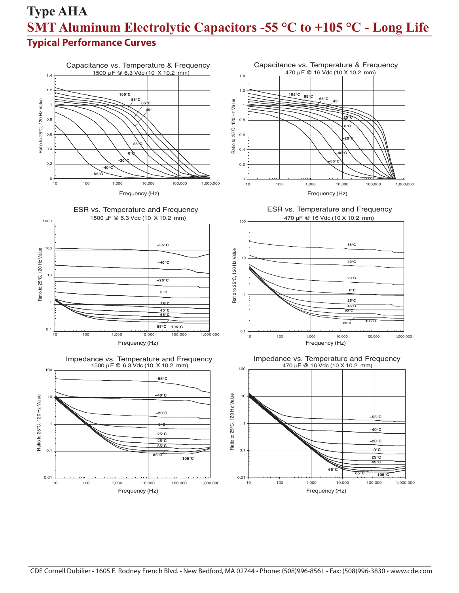## **Type AHA SMT Aluminum Electrolytic Capacitors -55 °C to +105 °C - Long Life Typical Performance Curves**



CDE Cornell Dubilier • 1605 E. Rodney French Blvd. • New Bedford, MA 02744 • Phone: (508)996-8561 • Fax: (508)996-3830 • www.cde.com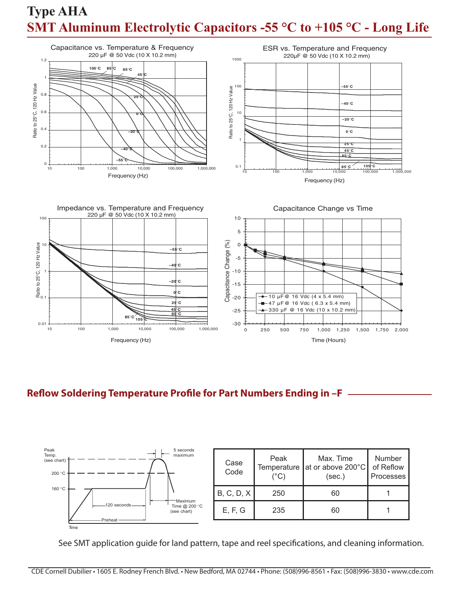

## **Reflow Soldering Temperature Profile for Part Numbers Ending in –F**



See SMT application guide for land pattern, tape and reel specifications, and cleaning information.